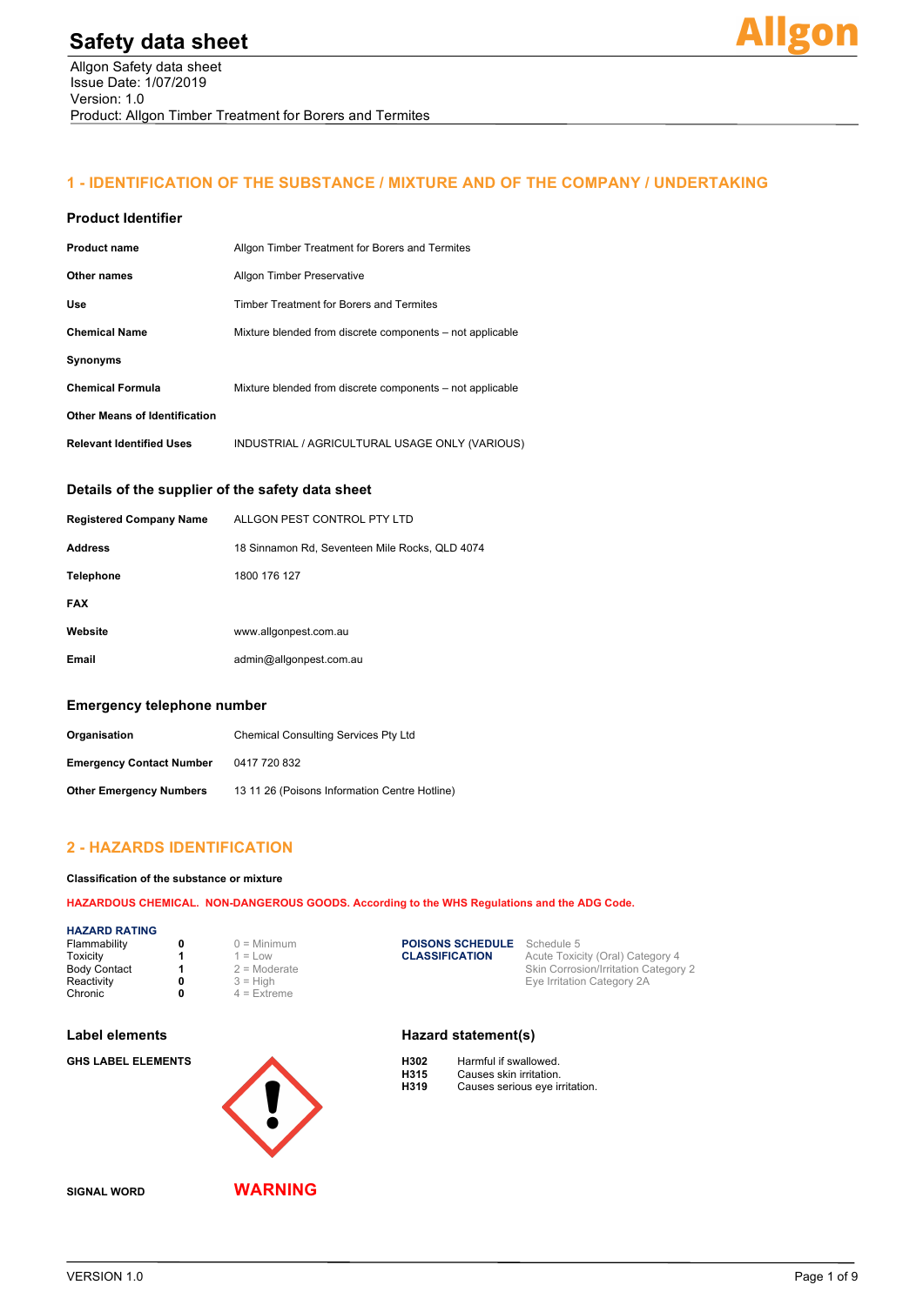# **1 - IDENTIFICATION OF THE SUBSTANCE / MIXTURE AND OF THE COMPANY / UNDERTAKING**

#### **Product Identifier**

| <b>Product name</b>                  | Allgon Timber Treatment for Borers and Termites           |  |
|--------------------------------------|-----------------------------------------------------------|--|
| Other names                          | <b>Allgon Timber Preservative</b>                         |  |
| Use                                  | Timber Treatment for Borers and Termites                  |  |
| <b>Chemical Name</b>                 | Mixture blended from discrete components – not applicable |  |
| <b>Synonyms</b>                      |                                                           |  |
| <b>Chemical Formula</b>              | Mixture blended from discrete components – not applicable |  |
| <b>Other Means of Identification</b> |                                                           |  |
| <b>Relevant Identified Uses</b>      | INDUSTRIAL / AGRICULTURAL USAGE ONLY (VARIOUS)            |  |

#### **Details of the supplier of the safety data sheet**

| <b>Registered Company Name</b> | ALLGON PEST CONTROL PTY LTD                    |
|--------------------------------|------------------------------------------------|
| <b>Address</b>                 | 18 Sinnamon Rd, Seventeen Mile Rocks, QLD 4074 |
| <b>Telephone</b>               | 1800 176 127                                   |
| <b>FAX</b>                     |                                                |
| Website                        | www.allgonpest.com.au                          |
| Email                          | admin@allgonpest.com.au                        |

#### **Emergency telephone number**

| Organisation                    | <b>Chemical Consulting Services Pty Ltd</b>   |  |
|---------------------------------|-----------------------------------------------|--|
| <b>Emergency Contact Number</b> | 0417 720 832                                  |  |
| <b>Other Emergency Numbers</b>  | 13 11 26 (Poisons Information Centre Hotline) |  |

### **2 - HAZARDS IDENTIFICATION**

#### **Classification of the substance or mixture**

**HAZARDOUS CHEMICAL. NON-DANGEROUS GOODS. According to the WHS Regulations and the ADG Code.**

#### **HAZARD RATING**

| Flammability        | $0 =$ Minimum  | <b>POISONS SCHEDULE</b> | Schedule 5                                  |
|---------------------|----------------|-------------------------|---------------------------------------------|
| Toxicity            | $I = Low$      | <b>CLASSIFICATION</b>   | Acute Toxicity (Oral) Category 4            |
| <b>Body Contact</b> | $2$ = Moderate |                         | <b>Skin Corrosion/Irritation Category 2</b> |
| Reactivity          | $3 =$ High     |                         | Eve Irritation Category 2A                  |
| Chronic             | $4$ = Extreme  |                         |                                             |

#### Label elements **Hazard statement(s)**



| njuz | Harritul II swallowed.         |
|------|--------------------------------|
| H315 | Causes skin irritation.        |
| H319 | Causes serious eye irritation. |

**SIGNAL WORD WARNING**

 $\blacktriangle$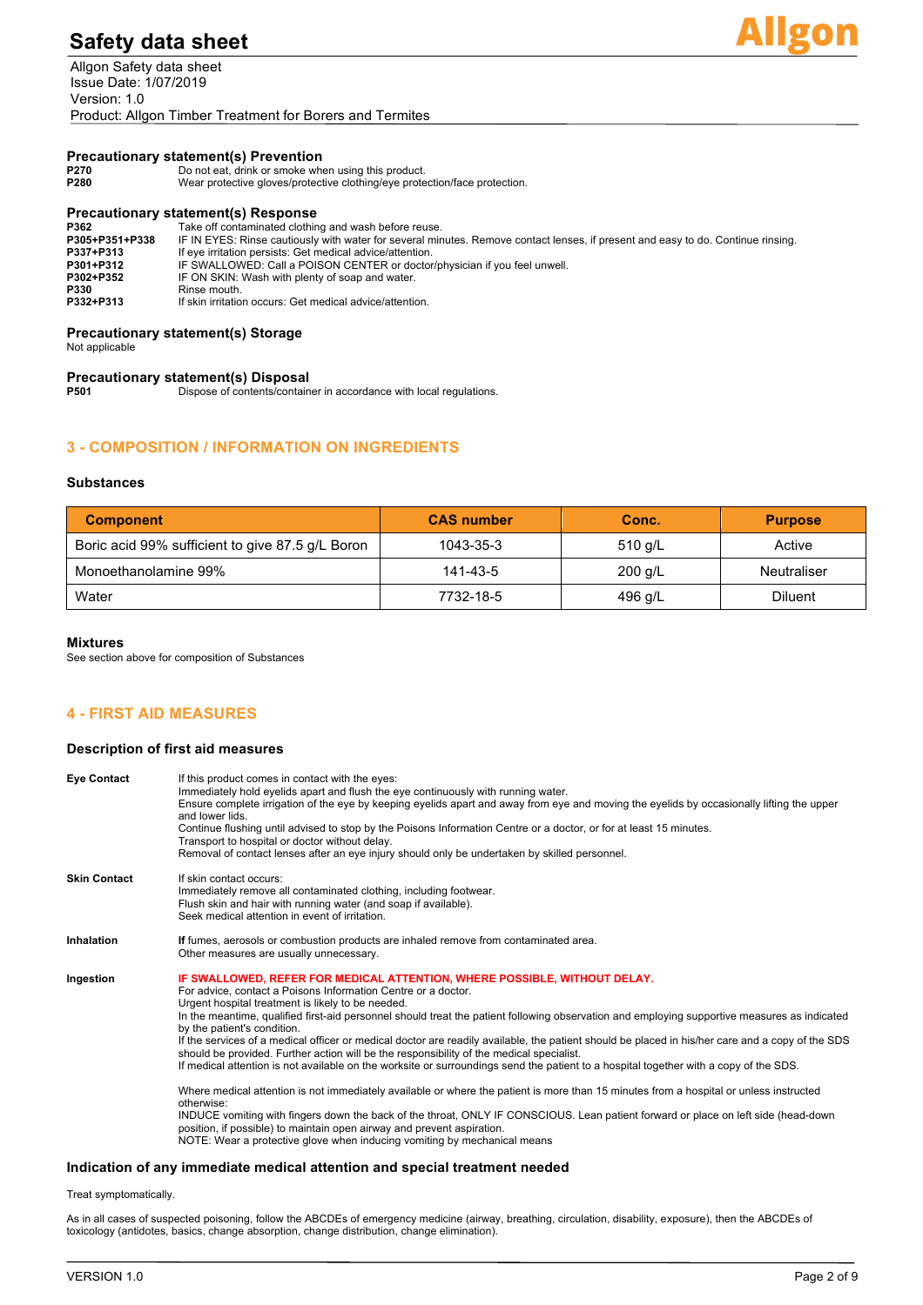Allgon Safety data sheet Issue Date: 1/07/2019 Version: 1.0 Product: Allgon Timber Treatment for Borers and Termites



#### **Precautionary statement(s) Prevention**

| P270           | Do not eat, drink or smoke when using this product.                                                                              |
|----------------|----------------------------------------------------------------------------------------------------------------------------------|
| P280           | Wear protective gloves/protective clothing/eye protection/face protection.                                                       |
|                | <b>Precautionary statement(s) Response</b>                                                                                       |
| P362           | Take off contaminated clothing and wash before reuse.                                                                            |
| P305+P351+P338 | IF IN EYES: Rinse cautiously with water for several minutes. Remove contact lenses, if present and easy to do. Continue rinsing. |
| P337+P313      | If eye irritation persists: Get medical advice/attention.                                                                        |
| P301+P312      | IF SWALLOWED: Call a POISON CENTER or doctor/physician if you feel unwell.                                                       |
| P302+P352      | IF ON SKIN: Wash with plenty of soap and water.                                                                                  |

**P330** Rinse mouth. **P332+P313** If skin irritation occurs: Get medical advice/attention.

#### **Precautionary statement(s) Storage**

Not applicable

# **Precautionary statement(s) Disposal**

**P501** Dispose of contents/container in accordance with local regulations.

### **3 - COMPOSITION / INFORMATION ON INGREDIENTS**

#### **Substances**

| <b>Component</b>                                 | <b>CAS number</b> | Conc.     | <b>Purpose</b> |
|--------------------------------------------------|-------------------|-----------|----------------|
| Boric acid 99% sufficient to give 87.5 g/L Boron | 1043-35-3         | 510 $q/L$ | Active         |
| Monoethanolamine 99%                             | 141-43-5          | $200$ g/L | Neutraliser    |
| Water                                            | 7732-18-5         | 496 g/L   | <b>Diluent</b> |

#### **Mixtures**

See section above for composition of Substances

### **4 - FIRST AID MEASURES**

#### **Description of first aid measures**

| <b>Eye Contact</b>  | If this product comes in contact with the eyes:<br>Immediately hold eyelids apart and flush the eye continuously with running water.<br>Ensure complete irrigation of the eye by keeping eyelids apart and away from eye and moving the eyelids by occasionally lifting the upper<br>and lower lids.<br>Continue flushing until advised to stop by the Poisons Information Centre or a doctor, or for at least 15 minutes.<br>Transport to hospital or doctor without delay.<br>Removal of contact lenses after an eye injury should only be undertaken by skilled personnel.                                                                                                                                                                                                                                                                                                                                                                                                                                                                                                                                                                                                                                               |
|---------------------|-----------------------------------------------------------------------------------------------------------------------------------------------------------------------------------------------------------------------------------------------------------------------------------------------------------------------------------------------------------------------------------------------------------------------------------------------------------------------------------------------------------------------------------------------------------------------------------------------------------------------------------------------------------------------------------------------------------------------------------------------------------------------------------------------------------------------------------------------------------------------------------------------------------------------------------------------------------------------------------------------------------------------------------------------------------------------------------------------------------------------------------------------------------------------------------------------------------------------------|
| <b>Skin Contact</b> | If skin contact occurs:<br>Immediately remove all contaminated clothing, including footwear.<br>Flush skin and hair with running water (and soap if available).<br>Seek medical attention in event of irritation.                                                                                                                                                                                                                                                                                                                                                                                                                                                                                                                                                                                                                                                                                                                                                                                                                                                                                                                                                                                                           |
| <b>Inhalation</b>   | If fumes, aerosols or combustion products are inhaled remove from contaminated area.<br>Other measures are usually unnecessary.                                                                                                                                                                                                                                                                                                                                                                                                                                                                                                                                                                                                                                                                                                                                                                                                                                                                                                                                                                                                                                                                                             |
| Ingestion           | IF SWALLOWED, REFER FOR MEDICAL ATTENTION, WHERE POSSIBLE, WITHOUT DELAY.<br>For advice, contact a Poisons Information Centre or a doctor.<br>Urgent hospital treatment is likely to be needed.<br>In the meantime, qualified first-aid personnel should treat the patient following observation and employing supportive measures as indicated<br>by the patient's condition.<br>If the services of a medical officer or medical doctor are readily available, the patient should be placed in his/her care and a copy of the SDS<br>should be provided. Further action will be the responsibility of the medical specialist.<br>If medical attention is not available on the worksite or surroundings send the patient to a hospital together with a copy of the SDS.<br>Where medical attention is not immediately available or where the patient is more than 15 minutes from a hospital or unless instructed<br>otherwise:<br>INDUCE vomiting with fingers down the back of the throat, ONLY IF CONSCIOUS. Lean patient forward or place on left side (head-down<br>position, if possible) to maintain open airway and prevent aspiration.<br>NOTE: Wear a protective glove when inducing vomiting by mechanical means |

#### **Indication of any immediate medical attention and special treatment needed**

Treat symptomatically.

As in all cases of suspected poisoning, follow the ABCDEs of emergency medicine (airway, breathing, circulation, disability, exposure), then the ABCDEs of toxicology (antidotes, basics, change absorption, change distribution, change elimination).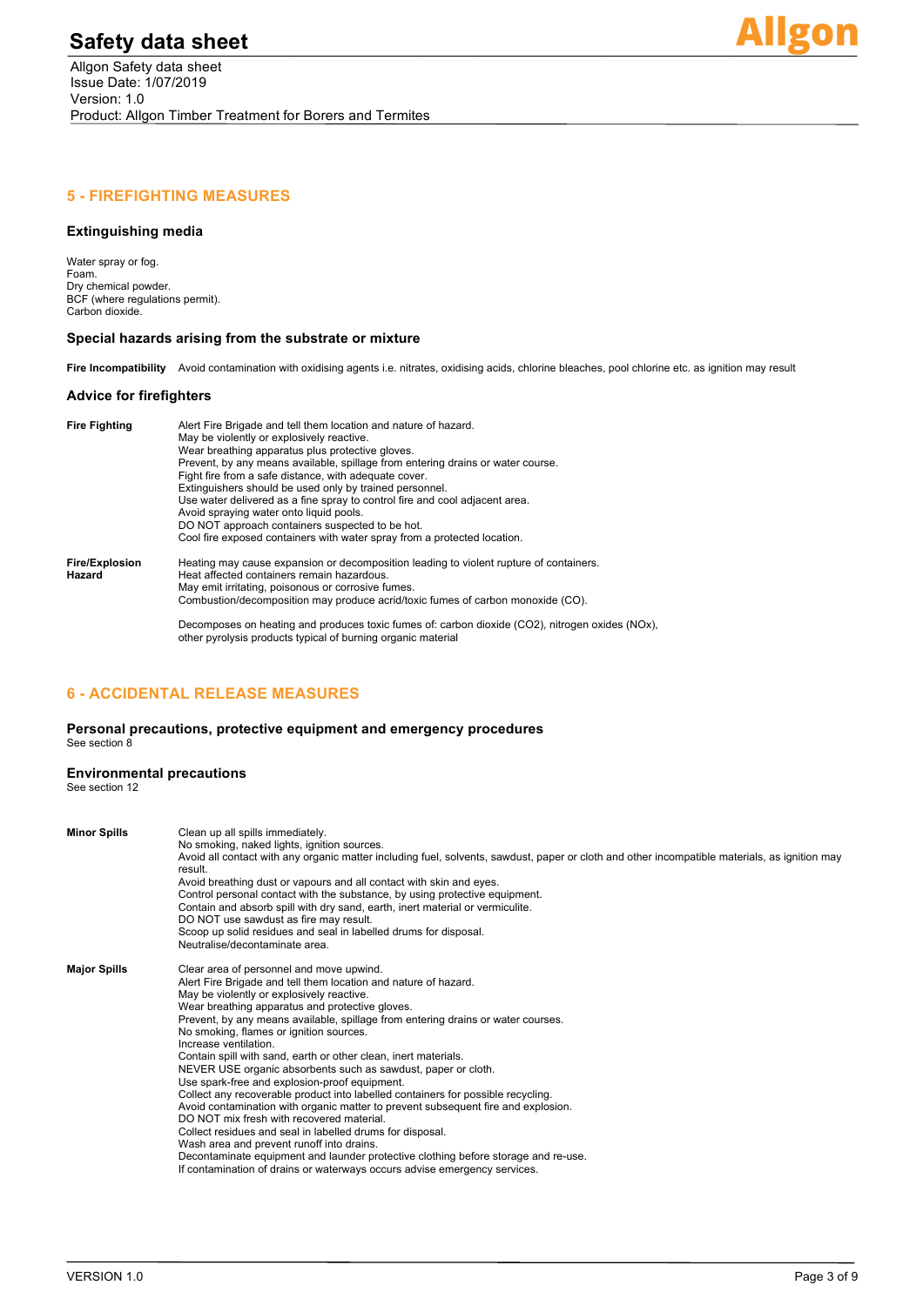

## **5 - FIREFIGHTING MEASURES**

### **Extinguishing media**

Water spray or fog. Foam. Dry chemical powder. BCF (where regulations permit). Carbon dioxide.

#### **Special hazards arising from the substrate or mixture**

Fire Incompatibility Avoid contamination with oxidising agents i.e. nitrates, oxidising acids, chlorine bleaches, pool chlorine etc. as ignition may result

#### **Advice for firefighters**

| <b>Fire Fighting</b>            | Alert Fire Brigade and tell them location and nature of hazard.<br>May be violently or explosively reactive.<br>Wear breathing apparatus plus protective gloves.<br>Prevent, by any means available, spillage from entering drains or water course.<br>Fight fire from a safe distance, with adequate cover.<br>Extinguishers should be used only by trained personnel.<br>Use water delivered as a fine spray to control fire and cool adjacent area.<br>Avoid spraying water onto liquid pools.<br>DO NOT approach containers suspected to be hot.<br>Cool fire exposed containers with water spray from a protected location. |
|---------------------------------|----------------------------------------------------------------------------------------------------------------------------------------------------------------------------------------------------------------------------------------------------------------------------------------------------------------------------------------------------------------------------------------------------------------------------------------------------------------------------------------------------------------------------------------------------------------------------------------------------------------------------------|
| <b>Fire/Explosion</b><br>Hazard | Heating may cause expansion or decomposition leading to violent rupture of containers.<br>Heat affected containers remain hazardous.<br>May emit irritating, poisonous or corrosive fumes.<br>Combustion/decomposition may produce acrid/toxic fumes of carbon monoxide (CO).                                                                                                                                                                                                                                                                                                                                                    |
|                                 | Decomposes on heating and produces toxic fumes of: carbon dioxide (CO2), nitrogen oxides (NOx),                                                                                                                                                                                                                                                                                                                                                                                                                                                                                                                                  |

## **6 - ACCIDENTAL RELEASE MEASURES**

#### **Personal precautions, protective equipment and emergency procedures** See section 8

other pyrolysis products typical of burning organic material

#### **Environmental precautions**

See section 12

| <b>Minor Spills</b> | Clean up all spills immediately.<br>No smoking, naked lights, ignition sources.<br>Avoid all contact with any organic matter including fuel, solvents, sawdust, paper or cloth and other incompatible materials, as ignition may<br>result.<br>Avoid breathing dust or vapours and all contact with skin and eyes.<br>Control personal contact with the substance, by using protective equipment.<br>Contain and absorb spill with dry sand, earth, inert material or vermiculite.<br>DO NOT use sawdust as fire may result.<br>Scoop up solid residues and seal in labelled drums for disposal.<br>Neutralise/decontaminate area.                                                                                                                                                                                                                                                                                                                                                                                                                          |
|---------------------|-------------------------------------------------------------------------------------------------------------------------------------------------------------------------------------------------------------------------------------------------------------------------------------------------------------------------------------------------------------------------------------------------------------------------------------------------------------------------------------------------------------------------------------------------------------------------------------------------------------------------------------------------------------------------------------------------------------------------------------------------------------------------------------------------------------------------------------------------------------------------------------------------------------------------------------------------------------------------------------------------------------------------------------------------------------|
| <b>Major Spills</b> | Clear area of personnel and move upwind.<br>Alert Fire Brigade and tell them location and nature of hazard.<br>May be violently or explosively reactive.<br>Wear breathing apparatus and protective gloves.<br>Prevent, by any means available, spillage from entering drains or water courses.<br>No smoking, flames or ignition sources.<br>Increase ventilation.<br>Contain spill with sand, earth or other clean, inert materials.<br>NEVER USE organic absorbents such as sawdust, paper or cloth.<br>Use spark-free and explosion-proof equipment.<br>Collect any recoverable product into labelled containers for possible recycling.<br>Avoid contamination with organic matter to prevent subsequent fire and explosion.<br>DO NOT mix fresh with recovered material.<br>Collect residues and seal in labelled drums for disposal.<br>Wash area and prevent runoff into drains.<br>Decontaminate equipment and launder protective clothing before storage and re-use.<br>If contamination of drains or waterways occurs advise emergency services. |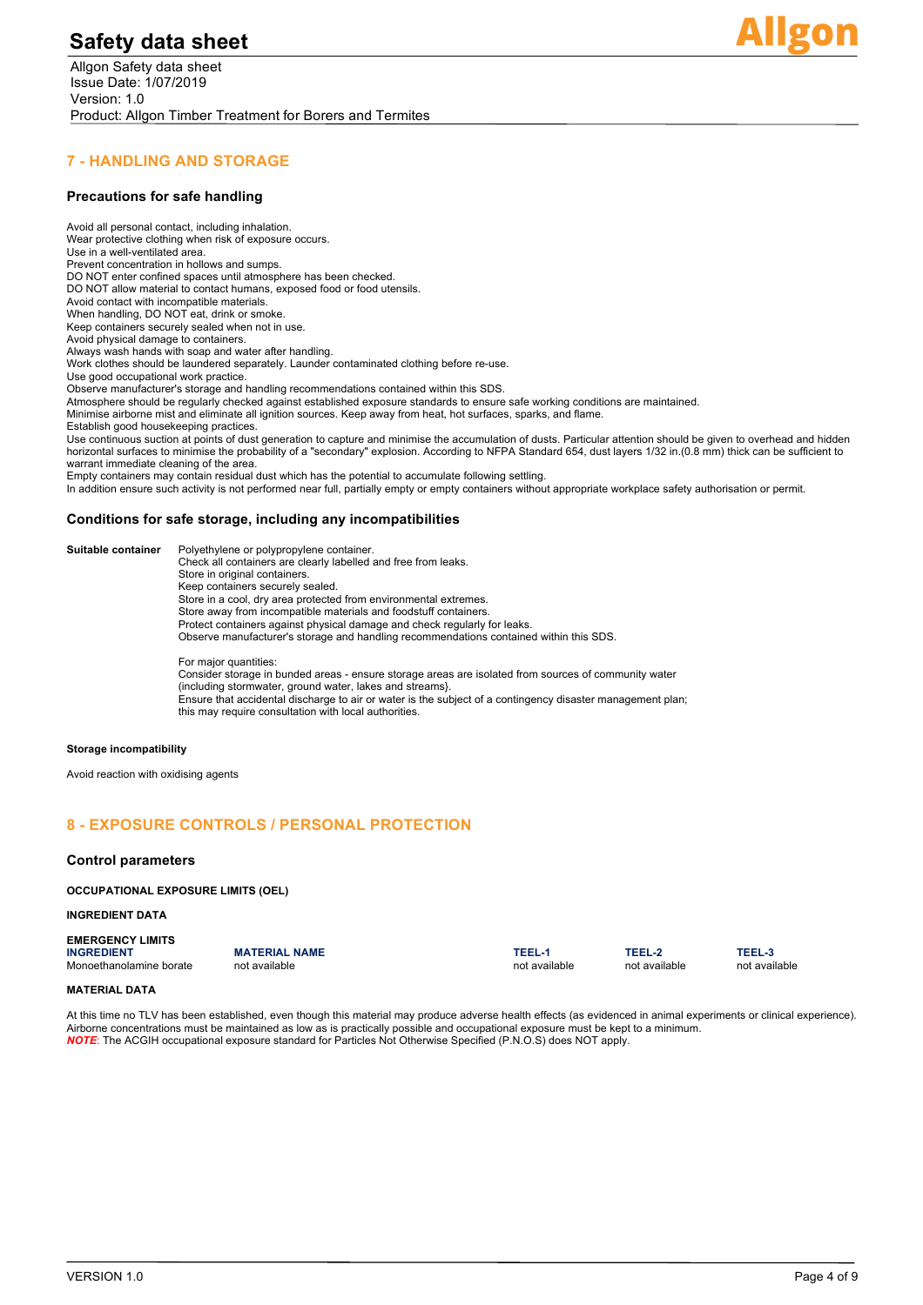

## **7 - HANDLING AND STORAGE**

#### **Precautions for safe handling**

Avoid all personal contact, including inhalation. Wear protective clothing when risk of exposure occurs. Use in a well-ventilated area. Prevent concentration in hollows and sumps. DO NOT enter confined spaces until atmosphere has been checked. DO NOT allow material to contact humans, exposed food or food utensils. Avoid contact with incompatible materials. When handling, DO NOT eat, drink or smoke. Keep containers securely sealed when not in use. Avoid physical damage to containers. Always wash hands with soap and water after handling. Work clothes should be laundered separately. Launder contaminated clothing before re-use. Use good occupational work practice. Observe manufacturer's storage and handling recommendations contained within this SDS. Atmosphere should be regularly checked against established exposure standards to ensure safe working conditions are maintained. Minimise airborne mist and eliminate all ignition sources. Keep away from heat, hot surfaces, sparks, and flame. Establish good housekeeping practices. Use continuous suction at points of dust generation to capture and minimise the accumulation of dusts. Particular attention should be given to overhead and hidden horizontal surfaces to minimise the probability of a "secondary" explosion. According to NFPA Standard 654, dust layers 1/32 in.(0.8 mm) thick can be sufficient to warrant immediate cleaning of the area. Empty containers may contain residual dust which has the potential to accumulate following settling. In addition ensure such activity is not performed near full, partially empty or empty containers without appropriate workplace safety authorisation or permit.

#### **Conditions for safe storage, including any incompatibilities**

| Suitable container | Polyethylene or polypropylene container.                                                                                                                            |
|--------------------|---------------------------------------------------------------------------------------------------------------------------------------------------------------------|
|                    | Check all containers are clearly labelled and free from leaks.                                                                                                      |
|                    | Store in original containers.                                                                                                                                       |
|                    | Keep containers securely sealed.                                                                                                                                    |
|                    | Store in a cool, dry area protected from environmental extremes.                                                                                                    |
|                    | Store away from incompatible materials and foodstuff containers.                                                                                                    |
|                    | Protect containers against physical damage and check regularly for leaks.                                                                                           |
|                    | Observe manufacturer's storage and handling recommendations contained within this SDS.                                                                              |
|                    | For major quantities:                                                                                                                                               |
|                    | Consider storage in bunded areas - ensure storage areas are isolated from sources of community water<br>(including stormwater, ground water, lakes and streams).    |
|                    | Ensure that accidental discharge to air or water is the subject of a contingency disaster management plan;<br>this may require consultation with local authorities. |
|                    |                                                                                                                                                                     |

#### **Storage incompatibility**

Avoid reaction with oxidising agents

## **8 - EXPOSURE CONTROLS / PERSONAL PROTECTION**

#### **Control parameters**

#### **OCCUPATIONAL EXPOSURE LIMITS (OEL)**

#### **INGREDIENT DATA**

# **EMERGENCY LIMITS**

Monoethanolamine borate

**INATERIAL NAME**<br> **INGREDIENT MATERIAL INCREDIENT MATERIAL TEEL-3**<br> **INGREDIENT MATERIAL INCREDIENT MATERIAL INGLES IN THE MATERIAL INGREDIENT MATERIAL INGLES IN THE MATERIAL INGLES<br>
INGREDIENT MATERIAL INGLES INGLES INGLE** 

#### **MATERIAL DATA**

At this time no TLV has been established, even though this material may produce adverse health effects (as evidenced in animal experiments or clinical experience). Airborne concentrations must be maintained as low as is practically possible and occupational exposure must be kept to a minimum. *NOTE*: The ACGIH occupational exposure standard for Particles Not Otherwise Specified (P.N.O.S) does NOT apply.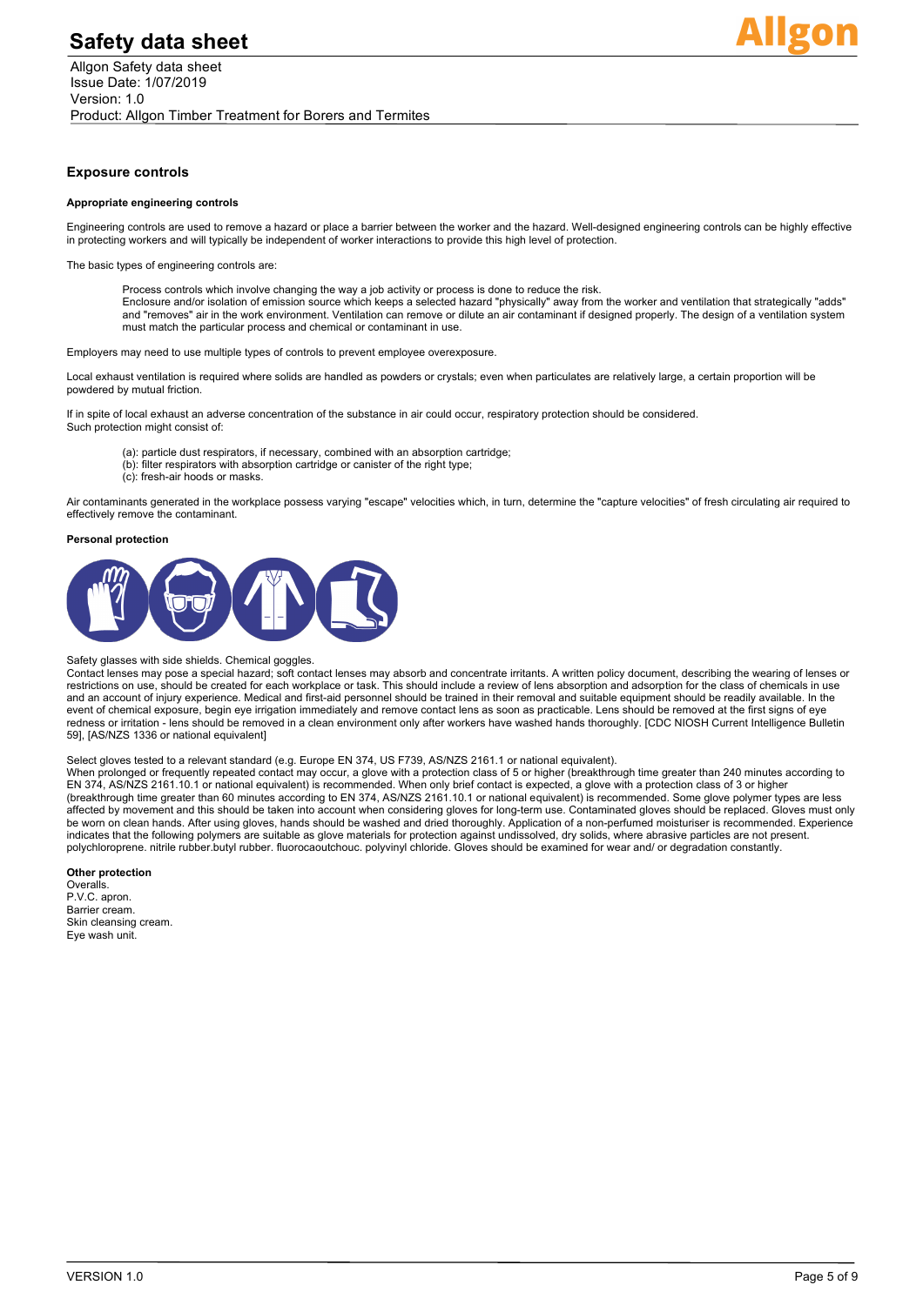

#### **Exposure controls**

#### **Appropriate engineering controls**

Engineering controls are used to remove a hazard or place a barrier between the worker and the hazard. Well-designed engineering controls can be highly effective in protecting workers and will typically be independent of worker interactions to provide this high level of protection.

The basic types of engineering controls are:

Process controls which involve changing the way a job activity or process is done to reduce the risk.<br>Enclosure and/or isolation of emission source which keeps a selected hazard "physically" away from the worker and ventil and "removes" air in the work environment. Ventilation can remove or dilute an air contaminant if designed properly. The design of a ventilation system must match the particular process and chemical or contaminant in use.

Employers may need to use multiple types of controls to prevent employee overexposure.

Local exhaust ventilation is required where solids are handled as powders or crystals; even when particulates are relatively large, a certain proportion will be powdered by mutual friction.

If in spite of local exhaust an adverse concentration of the substance in air could occur, respiratory protection should be considered. Such protection might consist of:

- (a): particle dust respirators, if necessary, combined with an absorption cartridge;
- (b): filter respirators with absorption cartridge or canister of the right type;
- (c): fresh-air hoods or masks.

Air contaminants generated in the workplace possess varying "escape" velocities which, in turn, determine the "capture velocities" of fresh circulating air required to effectively remove the contaminant.

#### **Personal protection**



#### Safety glasses with side shields. Chemical goggles.

Contact lenses may pose a special hazard; soft contact lenses may absorb and concentrate irritants. A written policy document, describing the wearing of lenses or restrictions on use, should be created for each workplace or task. This should include a review of lens absorption and adsorption for the class of chemicals in use and an account of injury experience. Medical and first-aid personnel should be trained in their removal and suitable equipment should be readily available. In the event of chemical exposure, begin eye irrigation immediately and remove contact lens as soon as practicable. Lens should be removed at the first signs of eye redness or irritation - lens should be removed in a clean environment only after workers have washed hands thoroughly. [CDC NIOSH Current Intelligence Bulletin 59], [AS/NZS 1336 or national equivalent]

#### Select gloves tested to a relevant standard (e.g. Europe EN 374, US F739, AS/NZS 2161.1 or national equivalent).

When prolonged or frequently repeated contact may occur, a glove with a protection class of 5 or higher (breakthrough time greater than 240 minutes according to EN 374, AS/NZS 2161.10.1 or national equivalent) is recommended. When only brief contact is expected, a glove with a protection class of 3 or higher (breakthrough time greater than 60 minutes according to EN 374, AS/NZS 2161.10.1 or national equivalent) is recommended. Some glove polymer types are less affected by movement and this should be taken into account when considering gloves for long-term use. Contaminated gloves should be replaced. Gloves must only be worn on clean hands. After using gloves, hands should be washed and dried thoroughly. Application of a non-perfumed moisturiser is recommended. Experience indicates that the following polymers are suitable as glove materials for protection against undissolved, dry solids, where abrasive particles are not present. polychloroprene. nitrile rubber.butyl rubber. fluorocaoutchouc. polyvinyl chloride. Gloves should be examined for wear and/ or degradation constantly.

#### **Other protection**

Overalls. P.V.C. apron. Barrier cream. Skin cleansing cream. Eye wash unit.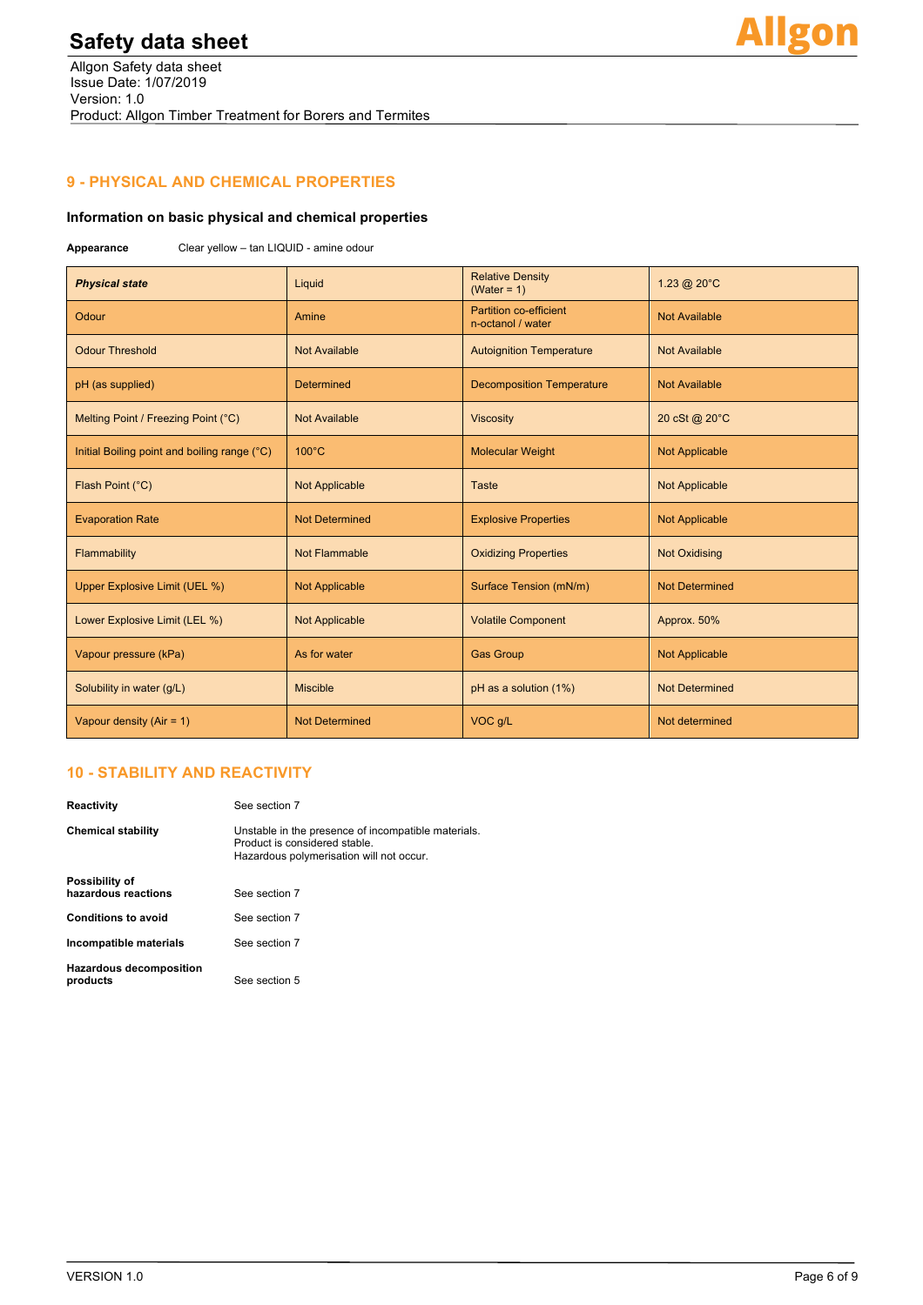# **9 - PHYSICAL AND CHEMICAL PROPERTIES**

# **Information on basic physical and chemical properties**

**Appearance** Clear yellow – tan LIQUID - amine odour

| <b>Physical state</b>                        | Liquid                | <b>Relative Density</b><br>(Water = $1$ )          | 1.23 @ 20°C           |
|----------------------------------------------|-----------------------|----------------------------------------------------|-----------------------|
| Odour                                        | Amine                 | <b>Partition co-efficient</b><br>n-octanol / water | <b>Not Available</b>  |
| <b>Odour Threshold</b>                       | <b>Not Available</b>  | <b>Autoignition Temperature</b>                    | <b>Not Available</b>  |
| pH (as supplied)                             | <b>Determined</b>     | <b>Decomposition Temperature</b>                   | <b>Not Available</b>  |
| Melting Point / Freezing Point (°C)          | <b>Not Available</b>  | <b>Viscosity</b>                                   | 20 cSt @ 20°C         |
| Initial Boiling point and boiling range (°C) | $100^{\circ}$ C       | <b>Molecular Weight</b>                            | <b>Not Applicable</b> |
| Flash Point (°C)                             | <b>Not Applicable</b> | Taste                                              | <b>Not Applicable</b> |
| <b>Evaporation Rate</b>                      | <b>Not Determined</b> | <b>Explosive Properties</b>                        | <b>Not Applicable</b> |
| Flammability                                 | Not Flammable         | <b>Oxidizing Properties</b>                        | <b>Not Oxidising</b>  |
| Upper Explosive Limit (UEL %)                | <b>Not Applicable</b> | Surface Tension (mN/m)                             | <b>Not Determined</b> |
| Lower Explosive Limit (LEL %)                | <b>Not Applicable</b> | <b>Volatile Component</b>                          | Approx. 50%           |
| Vapour pressure (kPa)                        | As for water          | <b>Gas Group</b>                                   | <b>Not Applicable</b> |
| Solubility in water (g/L)                    | <b>Miscible</b>       | pH as a solution (1%)                              | <b>Not Determined</b> |
| Vapour density $(Air = 1)$                   | <b>Not Determined</b> | VOC g/L                                            | Not determined        |

# **10 - STABILITY AND REACTIVITY**

| Reactivitv                            | See section 7                                                                                                                    |  |  |
|---------------------------------------|----------------------------------------------------------------------------------------------------------------------------------|--|--|
| Chemical stability                    | Unstable in the presence of incompatible materials.<br>Product is considered stable.<br>Hazardous polymerisation will not occur. |  |  |
| Possibility of<br>hazardous reactions | See section 7                                                                                                                    |  |  |
| <b>Conditions to avoid</b>            | See section 7                                                                                                                    |  |  |
| Incompatible materials                | See section 7                                                                                                                    |  |  |
| Hazardous decomposition<br>products   | See section 5                                                                                                                    |  |  |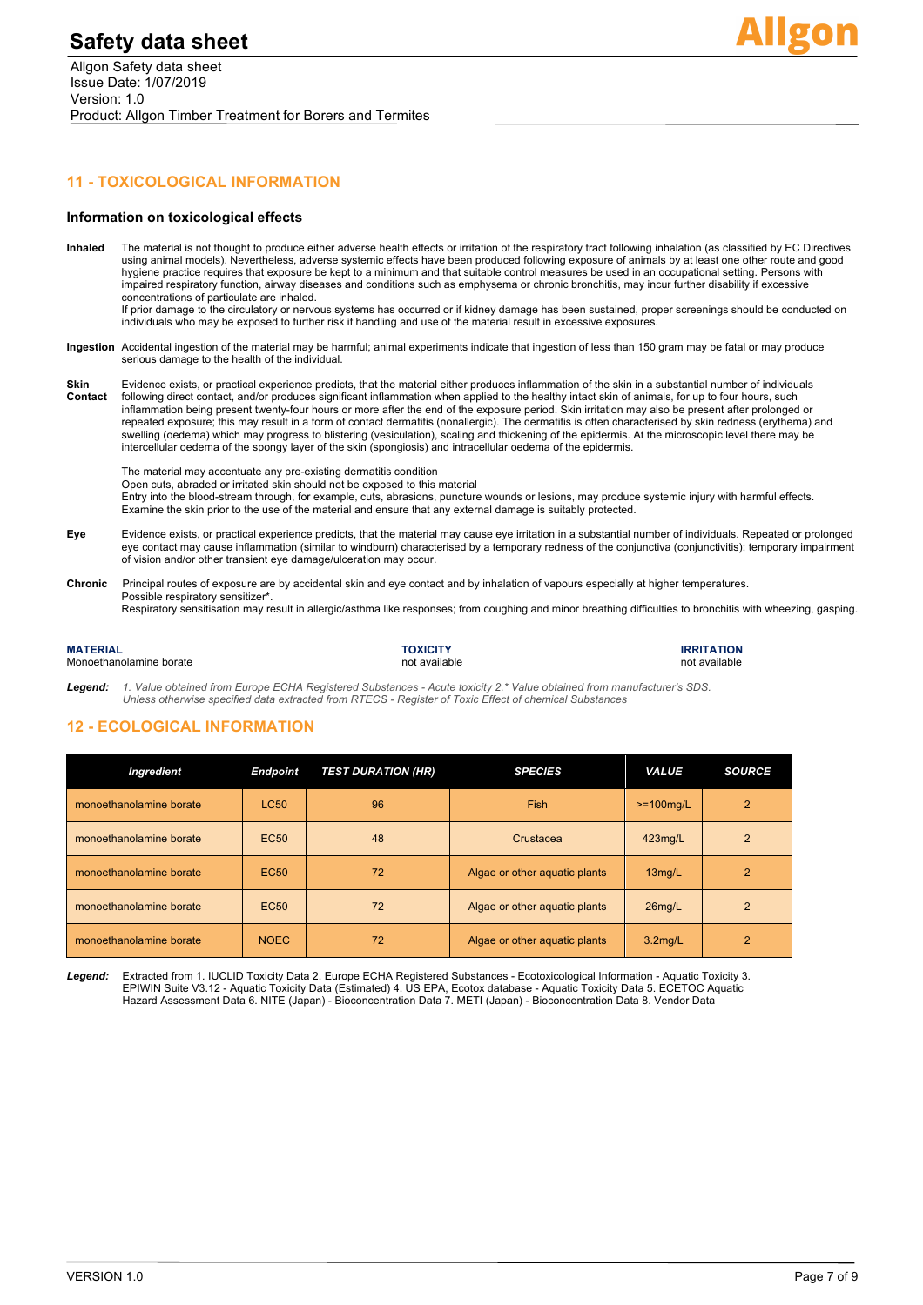

## **11 - TOXICOLOGICAL INFORMATION**

#### **Information on toxicological effects**

- **Inhaled** The material is not thought to produce either adverse health effects or irritation of the respiratory tract following inhalation (as classified by EC Directives using animal models). Nevertheless, adverse systemic effects have been produced following exposure of animals by at least one other route and good hygiene practice requires that exposure be kept to a minimum and that suitable control measures be used in an occupational setting. Persons with impaired respiratory function, airway diseases and conditions such as emphysema or chronic bronchitis, may incur further disability if excessive concentrations of particulate are inhaled. If prior damage to the circulatory or nervous systems has occurred or if kidney damage has been sustained, proper screenings should be conducted on
- individuals who may be exposed to further risk if handling and use of the material result in excessive exposures.
- **Ingestion** Accidental ingestion of the material may be harmful; animal experiments indicate that ingestion of less than 150 gram may be fatal or may produce serious damage to the health of the individual.
- **Skin** Evidence exists, or practical experience predicts, that the material either produces inflammation of the skin in a substantial number of individuals **Contact** following direct contact, and/or produces significant inflammation when applied to the healthy intact skin of animals, for up to four hours, such inflammation being present twenty-four hours or more after the end of the exposure period. Skin irritation may also be present after prolonged or repeated exposure; this may result in a form of contact dermatitis (nonallergic). The dermatitis is often characterised by skin redness (erythema) and swelling (oedema) which may progress to blistering (vesiculation), scaling and thickening of the epidermis. At the microscopic level there may be intercellular oedema of the spongy layer of the skin (spongiosis) and intracellular oedema of the epidermis.

The material may accentuate any pre-existing dermatitis condition

Open cuts, abraded or irritated skin should not be exposed to this material

Entry into the blood-stream through, for example, cuts, abrasions, puncture wounds or lesions, may produce systemic injury with harmful effects. Examine the skin prior to the use of the material and ensure that any external damage is suitably protected.

- **Eye** Evidence exists, or practical experience predicts, that the material may cause eye irritation in a substantial number of individuals. Repeated or prolonged eye contact may cause inflammation (similar to windburn) characterised by a temporary redness of the conjunctiva (conjunctivitis); temporary impairment of vision and/or other transient eye damage/ulceration may occur.
- **Chronic** Principal routes of exposure are by accidental skin and eye contact and by inhalation of vapours especially at higher temperatures. Possible respiratory sensitizer\*. Respiratory sensitisation may result in allergic/asthma like responses; from coughing and minor breathing difficulties to bronchitis with wheezing, gasping.

| <b>MATERIAL</b>         | <b>TOXICITY</b> | <b>IRRITATION</b> |
|-------------------------|-----------------|-------------------|
| Monoethanolamine borate | not available   | not available     |

*Legend: 1. Value obtained from Europe ECHA Registered Substances - Acute toxicity 2.\* Value obtained from manufacturer's SDS. Unless otherwise specified data extracted from RTECS - Register of Toxic Effect of chemical Substances*

### **12 - ECOLOGICAL INFORMATION**

| Ingredient              | <b>Endpoint</b>  | <b>TEST DURATION (HR)</b> | <b>SPECIES</b>                | <b>VALUE</b>         | <b>SOURCE</b>  |
|-------------------------|------------------|---------------------------|-------------------------------|----------------------|----------------|
| monoethanolamine borate | <b>LC50</b>      | 96                        | Fish                          | $>=100$ mg/L         | $\overline{2}$ |
| monoethanolamine borate | <b>EC50</b>      | 48                        | Crustacea                     | 423mg/L              | $\overline{2}$ |
| monoethanolamine borate | EC <sub>50</sub> | 72                        | Algae or other aquatic plants | $13$ mg/L            |                |
| monoethanolamine borate | <b>EC50</b>      | 72                        | Algae or other aquatic plants | $26$ mg/L            | 2              |
| monoethanolamine borate | <b>NOEC</b>      | 72                        | Algae or other aquatic plants | 3.2 <sub>mq</sub> /L | 2              |

*Legend:* Extracted from 1. IUCLID Toxicity Data 2. Europe ECHA Registered Substances - Ecotoxicological Information - Aquatic Toxicity 3. EPIWIN Suite V3.12 - Aquatic Toxicity Data (Estimated) 4. US EPA, Ecotox database - Aquatic Toxicity Data 5. ECETOC Aquatic Hazard Assessment Data 6. NITE (Japan) - Bioconcentration Data 7. METI (Japan) - Bioconcentration Data 8. Vendor Data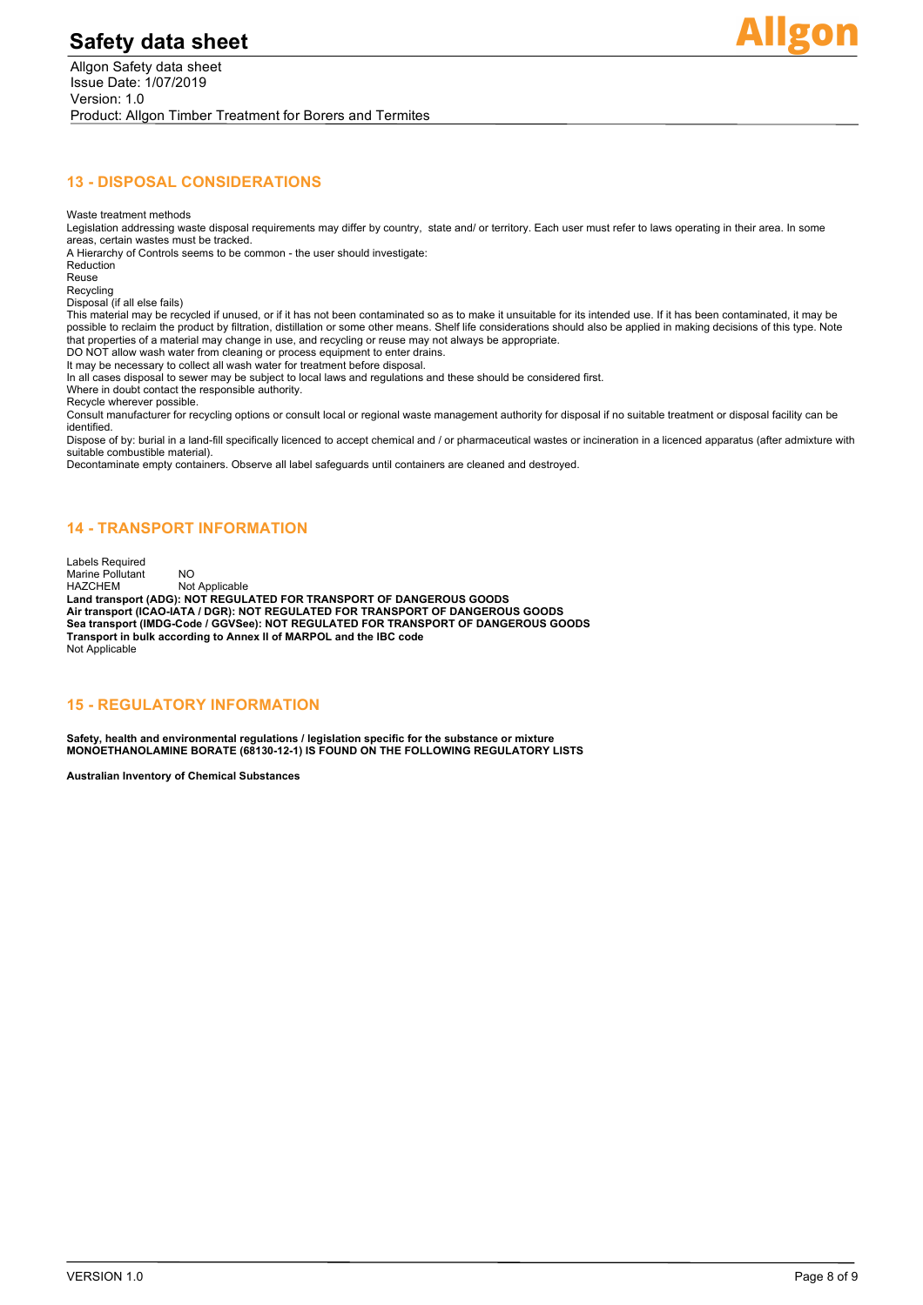

## **13 - DISPOSAL CONSIDERATIONS**

Waste treatment methods

Legislation addressing waste disposal requirements may differ by country, state and/ or territory. Each user must refer to laws operating in their area. In some areas, certain wastes must be tracked.

A Hierarchy of Controls seems to be common - the user should investigate:

Reduction Reuse

Recycling Disposal (if all else fails)

This material may be recycled if unused, or if it has not been contaminated so as to make it unsuitable for its intended use. If it has been contaminated, it may be<br>possible to reclaim the product by filtration, distillati that properties of a material may change in use, and recycling or reuse may not always be appropriate.

DO NOT allow wash water from cleaning or process equipment to enter drains.

It may be necessary to collect all wash water for treatment before disposal.

In all cases disposal to sewer may be subject to local laws and regulations and these should be considered first.

Where in doubt contact the responsible authority.

Recycle wherever possible. Consult manufacturer for recycling options or consult local or regional waste management authority for disposal if no suitable treatment or disposal facility can be identified.

Dispose of by: burial in a land-fill specifically licenced to accept chemical and / or pharmaceutical wastes or incineration in a licenced apparatus (after admixture with suitable combustible material).

Decontaminate empty containers. Observe all label safeguards until containers are cleaned and destroyed.

## **14 - TRANSPORT INFORMATION**

Labels Required Marine Pollutant NO<br>
HAZCHEM Not Not Applicable **Land transport (ADG): NOT REGULATED FOR TRANSPORT OF DANGEROUS GOODS Air transport (ICAO-IATA / DGR): NOT REGULATED FOR TRANSPORT OF DANGEROUS GOODS Sea transport (IMDG-Code / GGVSee): NOT REGULATED FOR TRANSPORT OF DANGEROUS GOODS Transport in bulk according to Annex II of MARPOL and the IBC code** Not Applicable

## **15 - REGULATORY INFORMATION**

**Safety, health and environmental regulations / legislation specific for the substance or mixture MONOETHANOLAMINE BORATE (68130-12-1) IS FOUND ON THE FOLLOWING REGULATORY LISTS**

**Australian Inventory of Chemical Substances**